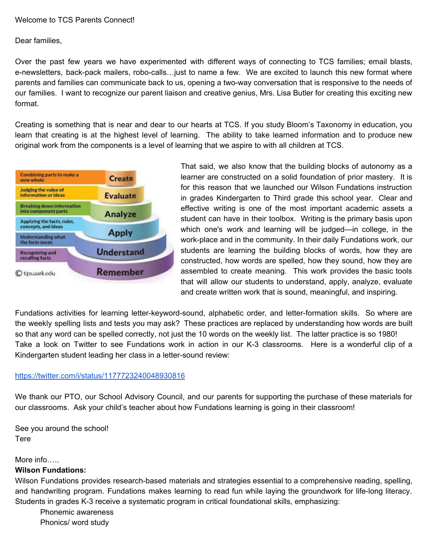## Welcome to TCS Parents Connect!

Dear families,

Over the past few years we have experimented with different ways of connecting to TCS families; email blasts, e-newsletters, back-pack mailers, robo-calls…just to name a few. We are excited to launch this new format where parents and families can communicate back to us, opening a two-way conversation that is responsive to the needs of our families. I want to recognize our parent liaison and creative genius, Mrs. Lisa Butler for creating this exciting new format.

Creating is something that is near and dear to our hearts at TCS. If you study Bloom's Taxonomy in education, you learn that creating is at the highest level of learning. The ability to take learned information and to produce new original work from the components is a level of learning that we aspire to with all children at TCS.



That said, we also know that the building blocks of autonomy as a learner are constructed on a solid foundation of prior mastery. It is for this reason that we launched our Wilson Fundations instruction in grades Kindergarten to Third grade this school year. Clear and effective writing is one of the most important academic assets a student can have in their toolbox. Writing is the primary basis upon which one's work and learning will be judged—in college, in the work-place and in the community. In their daily Fundations work, our students are learning the building blocks of words, how they are constructed, how words are spelled, how they sound, how they are assembled to create meaning. This work provides the basic tools that will allow our students to understand, apply, analyze, evaluate and create written work that is sound, meaningful, and inspiring.

Fundations activities for learning letter-keyword-sound, alphabetic order, and letter-formation skills. So where are the weekly spelling lists and tests you may ask? These practices are replaced by understanding how words are built so that any word can be spelled correctly, not just the 10 words on the weekly list. The latter practice is so 1980! Take a look on Twitter to see Fundations work in action in our K-3 classrooms. Here is a wonderful clip of a Kindergarten student leading her class in a letter-sound review:

## <https://twitter.com/i/status/1177723240048930816>

We thank our PTO, our School Advisory Council, and our parents for supporting the purchase of these materials for our classrooms. Ask your child's teacher about how Fundations learning is going in their classroom!

See you around the school! Tere

## More info…..

## **Wilson Fundations:**

Wilson Fundations provides research-based materials and strategies essential to a comprehensive reading, spelling, and handwriting program. Fundations makes learning to read fun while laying the groundwork for life-long literacy. Students in grades K-3 receive a systematic program in critical foundational skills, emphasizing:

Phonemic awareness Phonics/ word study